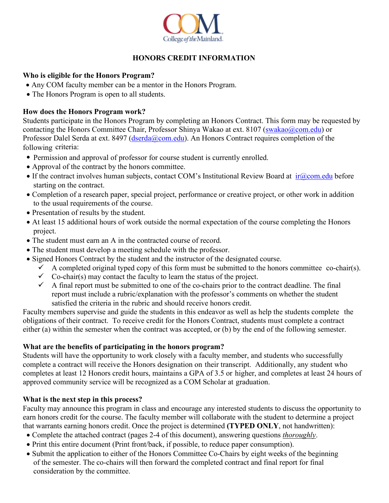

## **HONORS CREDIT INFORMATION**

#### **Who is eligible for the Honors Program?**

- Any COM faculty member can be a mentor in the Honors Program.
- The Honors Program is open to all students.

### **How does the Honors Program work?**

Students participate in the Honors Program by completing an Honors Contract. This form may be requested by contacting the Honors Committee Chair, Professor Shinya Wakao at ext. 8107 [\(swakao@com.edu\)](mailto:swakao@com.edu) or Professor Dalel Serda at ext. 8497 [\(dserda@com.edu\)](mailto:dserda@com.edu). An Honors Contract requires completion of the following criteria:

- Permission and approval of professor for course student is currently enrolled.
- Approval of the contract by the honors committee.
- If the contract involves human subjects, contact COM's Institutional Review Board at  $ir@com.edu$  before starting on the contract.
- Completion of a research paper, special project, performance or creative project, or other work in addition to the usual requirements of the course.
- Presentation of results by the student.
- At least 15 additional hours of work outside the normal expectation of the course completing the Honors project.
- The student must earn an A in the contracted course of record.
- The student must develop a meeting schedule with the professor.
- Signed Honors Contract by the student and the instructor of the designated course.
	- $\checkmark$  A completed original typed copy of this form must be submitted to the honors committee co-chair(s).
	- $\checkmark$  Co-chair(s) may contact the faculty to learn the status of the project.
	- $\checkmark$  A final report must be submitted to one of the co-chairs prior to the contract deadline. The final report must include a rubric/explanation with the professor's comments on whether the student satisfied the criteria in the rubric and should receive honors credit.

Faculty members supervise and guide the students in this endeavor as well as help the students complete the obligations of their contract. To receive credit for the Honors Contract, students must complete a contract either (a) within the semester when the contract was accepted, or (b) by the end of the following semester.

#### **What are the benefits of participating in the honors program?**

Students will have the opportunity to work closely with a faculty member, and students who successfully complete a contract will receive the Honors designation on their transcript. Additionally, any student who completes at least 12 Honors credit hours, maintains a GPA of 3.5 or higher, and completes at least 24 hours of approved community service will be recognized as a COM Scholar at graduation.

## **What is the next step in this process?**

Faculty may announce this program in class and encourage any interested students to discuss the opportunity to earn honors credit for the course. The faculty member will collaborate with the student to determine a project that warrants earning honors credit. Once the project is determined **(TYPED ONLY**, not handwritten):

- Complete the attached contract (pages 2-4 of this document), answering questions *thoroughly*.
- Print this entire document (Print front/back, if possible, to reduce paper consumption).
- Submit the application to either of the Honors Committee Co-Chairs by eight weeks of the beginning of the semester. The co-chairs will then forward the completed contract and final report for final consideration by the committee.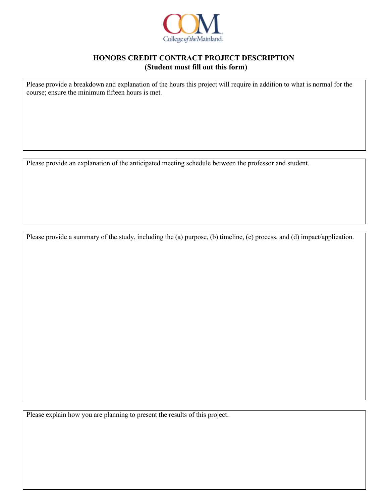

#### **HONORS CREDIT CONTRACT PROJECT DESCRIPTION (Student must fill out this form)**

Please provide a breakdown and explanation of the hours this project will require in addition to what is normal for the course; ensure the minimum fifteen hours is met.

Please provide an explanation of the anticipated meeting schedule between the professor and student.

Please provide a summary of the study, including the (a) purpose, (b) timeline, (c) process, and (d) impact/application.

Please explain how you are planning to present the results of this project.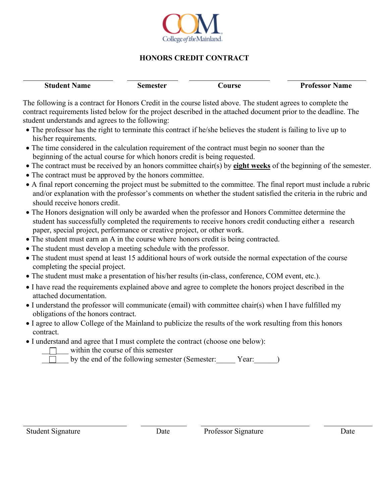

## **HONORS CREDIT CONTRACT**

| <b>Student Name</b> | Semester<br>. `ourse | <b>Professor Name</b> |
|---------------------|----------------------|-----------------------|
|                     |                      |                       |

The following is a contract for Honors Credit in the course listed above. The student agrees to complete the contract requirements listed below for the project described in the attached document prior to the deadline. The student understands and agrees to the following:

- The professor has the right to terminate this contract if he/she believes the student is failing to live up to his/her requirements.
- The time considered in the calculation requirement of the contract must begin no sooner than the beginning of the actual course for which honors credit is being requested.
- The contract must be received by an honors committee chair(s) by **eight weeks** of the beginning of the semester.
- The contract must be approved by the honors committee.
- A final report concerning the project must be submitted to the committee. The final report must include a rubric and/or explanation with the professor's comments on whether the student satisfied the criteria in the rubric and should receive honors credit.
- The Honors designation will only be awarded when the professor and Honors Committee determine the student has successfully completed the requirements to receive honors credit conducting either a research paper, special project, performance or creative project, or other work.
- The student must earn an A in the course where honors credit is being contracted.
- The student must develop a meeting schedule with the professor.
- The student must spend at least 15 additional hours of work outside the normal expectation of the course completing the special project.
- The student must make a presentation of his/her results (in-class, conference, COM event, etc.).
- I have read the requirements explained above and agree to complete the honors project described in the attached documentation.
- I understand the professor will communicate (email) with committee chair(s) when I have fulfilled my obligations of the honors contract.
- I agree to allow College of the Mainland to publicize the results of the work resulting from this honors contract.
- I understand and agree that I must complete the contract (choose one below):
	- within the course of this semester

by the end of the following semester (Semester: Year:  $\qquad$  )